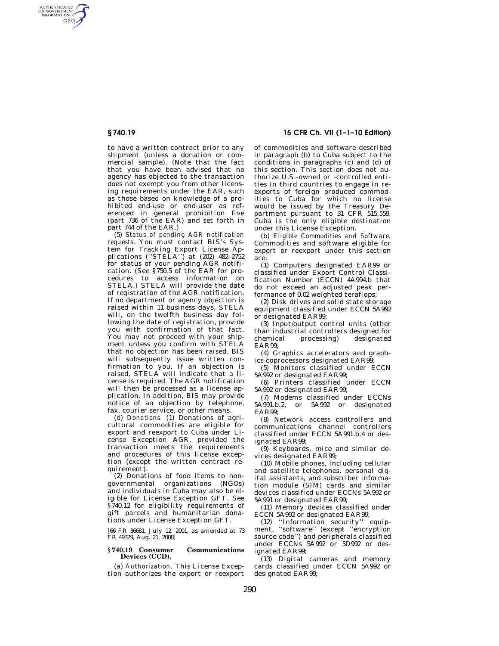AUTHENTICATED<br>U.S. GOVERNMENT<br>INFORMATION **GPO** 

> to have a written contract prior to any shipment (unless a donation or commercial sample). (Note that the fact that you have been advised that no agency has objected to the transaction does not exempt you from other licensing requirements under the EAR, such as those based on knowledge of a prohibited end-use or end-user as referenced in general prohibition five (part 736 of the EAR) and set forth in part 744 of the EAR.)

> (5) *Status of pending AGR notification requests.* You must contact BIS's System for Tracking Export License Applications (''STELA'') at (202) 482–2752 for status of your pending AGR notification. (See §750.5 of the EAR for procedures to access information on STELA.) STELA will provide the date of registration of the AGR notification. If no department or agency objection is raised within 11 business days, STELA will, on the twelfth business day following the date of registration, provide you with confirmation of that fact. You may not proceed with your shipment unless you confirm with STELA that no objection has been raised. BIS will subsequently issue written confirmation to you. If an objection is raised, STELA will indicate that a license is required. The AGR notification will then be processed as a license application. In addition, BIS may provide notice of an objection by telephone, fax, courier service, or other means.

> (d) *Donations.* (1) Donations of agricultural commodities are eligible for export and reexport to Cuba under License Exception AGR, provided the transaction meets the requirements and procedures of this license exception (except the written contract requirement).

> (2) Donations of food items to nongovernmental organizations (NGOs) and individuals in Cuba may also be eligible for License Exception GFT. See §740.12 for eligibility requirements of gift parcels and humanitarian donations under License Exception GFT.

> [66 FR 36681, July 12, 2001, as amended at 73 FR 49329, Aug. 21, 2008]

## **§ 740.19 Consumer Communications Devices (CCD).**

(a) *Authorization.* This License Exception authorizes the export or reexport

**§ 740.19 15 CFR Ch. VII (1–1–10 Edition)** 

of commodities and software described in paragraph (b) to Cuba subject to the conditions in paragraphs (c) and (d) of this section. This section does not authorize U.S.-owned or -controlled entities in third countries to engage in reexports of foreign produced commodities to Cuba for which no license would be issued by the Treasury Department pursuant to 31 CFR 515.559. Cuba is the only eligible destination under this License Exception.

(b) *Eligible Commodities and Software.*  Commodities and software eligible for export or reexport under this section are:

(1) Computers designated EAR99 or classified under Export Control Classification Number (ECCN) 4A994.b that do not exceed an adjusted peak performance of 0.02 weighted teraflops;

(2) Disk drives and solid state storage equipment classified under ECCN 5A992 or designated EAR99;

(3) Input/output control units (other than industrial controllers designed for chemical processing) designated EAR99;

(4) Graphics accelerators and graphics coprocessors designated EAR99;

(5) Monitors classified under ECCN 5A992 or designated EAR99;

(6) Printers classified under ECCN 5A992 or designated EAR99;

(7) Modems classified under ECCNs 5A991.b.2, or 5A992 or designated EAR99;

(8) Network access controllers and communications channel controllers classified under ECCN 5A991.b.4 or designated EAR99;

(9) Keyboards, mice and similar devices designated EAR99;

(10) Mobile phones, including cellular and satellite telephones, personal digital assistants, and subscriber information module (SIM) cards and similar devices classified under ECCNs 5A992 or 5A991 or designated EAR99;

(11) Memory devices classified under ECCN 5A992 or designated EAR99;

(12) ''Information security'' equipment, ''software'' (except ''encryption source code'') and peripherals classified under ECCNs 5A992 or 5D992 or designated EAR99;

(13) Digital cameras and memory cards classified under ECCN 5A992 or designated EAR99;